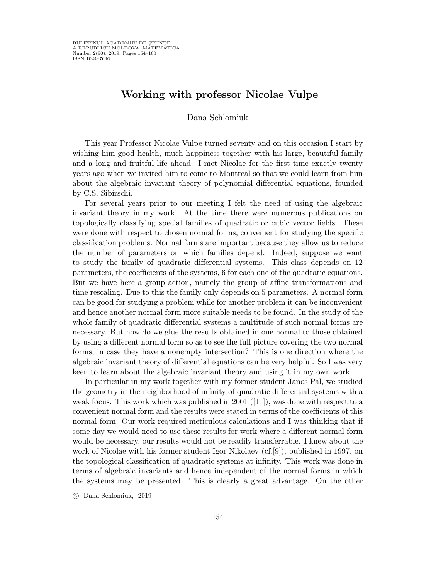# Working with professor Nicolae Vulpe

Dana Schlomiuk

This year Professor Nicolae Vulpe turned seventy and on this occasion I start by wishing him good health, much happiness together with his large, beautiful family and a long and fruitful life ahead. I met Nicolae for the first time exactly twenty years ago when we invited him to come to Montreal so that we could learn from him about the algebraic invariant theory of polynomial differential equations, founded by C.S. Sibirschi.

For several years prior to our meeting I felt the need of using the algebraic invariant theory in my work. At the time there were numerous publications on topologically classifying special families of quadratic or cubic vector fields. These were done with respect to chosen normal forms, convenient for studying the specific classification problems. Normal forms are important because they allow us to reduce the number of parameters on which families depend. Indeed, suppose we want to study the family of quadratic differential systems. This class depends on 12 parameters, the coefficients of the systems, 6 for each one of the quadratic equations. But we have here a group action, namely the group of affine transformations and time rescaling. Due to this the family only depends on 5 parameters. A normal form can be good for studying a problem while for another problem it can be inconvenient and hence another normal form more suitable needs to be found. In the study of the whole family of quadratic differential systems a multitude of such normal forms are necessary. But how do we glue the results obtained in one normal to those obtained by using a different normal form so as to see the full picture covering the two normal forms, in case they have a nonempty intersection? This is one direction where the algebraic invariant theory of differential equations can be very helpful. So I was very keen to learn about the algebraic invariant theory and using it in my own work.

In particular in my work together with my former student Janos Pal, we studied the geometry in the neighborhood of infinity of quadratic differential systems with a weak focus. This work which was published in 2001 ([11]), was done with respect to a convenient normal form and the results were stated in terms of the coefficients of this normal form. Our work required meticulous calculations and I was thinking that if some day we would need to use these results for work where a different normal form would be necessary, our results would not be readily transferrable. I knew about the work of Nicolae with his former student Igor Nikolaev (cf.[9]), published in 1997, on the topological classification of quadratic systems at infinity. This work was done in terms of algebraic invariants and hence independent of the normal forms in which the systems may be presented. This is clearly a great advantage. On the other

c Dana Schlomiuk, 2019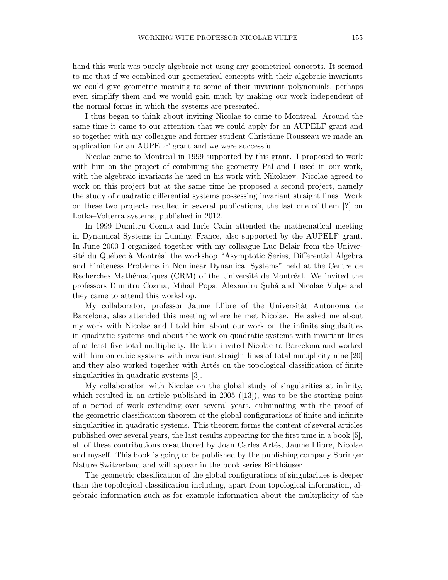hand this work was purely algebraic not using any geometrical concepts. It seemed to me that if we combined our geometrical concepts with their algebraic invariants we could give geometric meaning to some of their invariant polynomials, perhaps even simplify them and we would gain much by making our work independent of the normal forms in which the systems are presented.

I thus began to think about inviting Nicolae to come to Montreal. Around the same time it came to our attention that we could apply for an AUPELF grant and so together with my colleague and former student Christiane Rousseau we made an application for an AUPELF grant and we were successful.

Nicolae came to Montreal in 1999 supported by this grant. I proposed to work with him on the project of combining the geometry Pal and I used in our work, with the algebraic invariants he used in his work with Nikolaiev. Nicolae agreed to work on this project but at the same time he proposed a second project, namely the study of quadratic differential systems possessing invariant straight lines. Work on these two projects resulted in several publications, the last one of them [?] on Lotka–Volterra systems, published in 2012.

In 1999 Dumitru Cozma and Iurie Calin attended the mathematical meeting in Dynamical Systems in Luminy, France, also supported by the AUPELF grant. In June 2000 I organized together with my colleague Luc Belair from the Université du Québec à Montréal the workshop "Asymptotic Series, Differential Algebra and Finiteness Problems in Nonlinear Dynamical Systems" held at the Centre de Recherches Mathématiques (CRM) of the Université de Montréal. We invited the professors Dumitru Cozma, Mihail Popa, Alexandru Subă and Nicolae Vulpe and they came to attend this workshop.

My collaborator, professor Jaume Llibre of the Universitàt Autonoma de Barcelona, also attended this meeting where he met Nicolae. He asked me about my work with Nicolae and I told him about our work on the infinite singularities in quadratic systems and about the work on quadratic systems with invariant lines of at least five total multiplicity. He later invited Nicolae to Barcelona and worked with him on cubic systems with invariant straight lines of total mutiplicity nine [20] and they also worked together with Artés on the topological classification of finite singularities in quadratic systems [3].

My collaboration with Nicolae on the global study of singularities at infinity, which resulted in an article published in 2005 ([13]), was to be the starting point of a period of work extending over several years, culminating with the proof of the geometric classification theorem of the global configurations of finite and infinite singularities in quadratic systems. This theorem forms the content of several articles published over several years, the last results appearing for the first time in a book [5], all of these contributions co-authored by Joan Carles Artés, Jaume Llibre, Nicolae and myself. This book is going to be published by the publishing company Springer Nature Switzerland and will appear in the book series Birkhäuser.

The geometric classification of the global configurations of singularities is deeper than the topological classification including, apart from topological information, algebraic information such as for example information about the multiplicity of the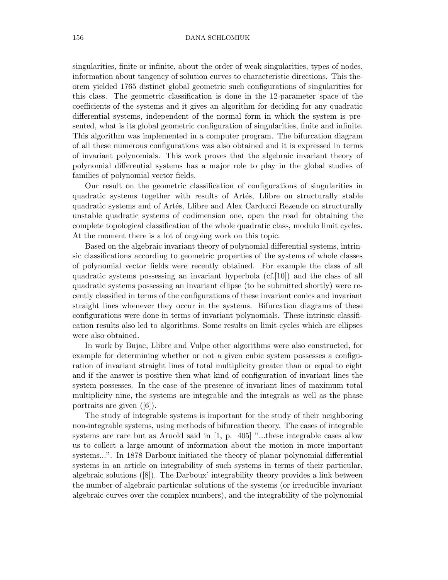#### 156 DANA SCHLOMIUK

singularities, finite or infinite, about the order of weak singularities, types of nodes, information about tangency of solution curves to characteristic directions. This theorem yielded 1765 distinct global geometric such configurations of singularities for this class. The geometric classification is done in the 12-parameter space of the coefficients of the systems and it gives an algorithm for deciding for any quadratic differential systems, independent of the normal form in which the system is presented, what is its global geometric configuration of singularities, finite and infinite. This algorithm was implemented in a computer program. The bifurcation diagram of all these numerous configurations was also obtained and it is expressed in terms of invariant polynomials. This work proves that the algebraic invariant theory of polynomial differential systems has a major role to play in the global studies of families of polynomial vector fields.

Our result on the geometric classification of configurations of singularities in quadratic systems together with results of Artés, Llibre on structurally stable quadratic systems and of Artés, Llibre and Alex Carducci Rezende on structurally unstable quadratic systems of codimension one, open the road for obtaining the complete topological classification of the whole quadratic class, modulo limit cycles. At the moment there is a lot of ongoing work on this topic.

Based on the algebraic invariant theory of polynomial differential systems, intrinsic classifications according to geometric properties of the systems of whole classes of polynomial vector fields were recently obtained. For example the class of all quadratic systems possessing an invariant hyperbola  $(cf.[10])$  and the class of all quadratic systems possessing an invariant ellipse (to be submitted shortly) were recently classified in terms of the configurations of these invariant conics and invariant straight lines whenever they occur in the systems. Bifurcation diagrams of these configurations were done in terms of invariant polynomials. These intrinsic classification results also led to algorithms. Some results on limit cycles which are ellipses were also obtained.

In work by Bujac, Llibre and Vulpe other algorithms were also constructed, for example for determining whether or not a given cubic system possesses a configuration of invariant straight lines of total multiplicity greater than or equal to eight and if the answer is positive then what kind of configuration of invariant lines the system possesses. In the case of the presence of invariant lines of maximum total multiplicity nine, the systems are integrable and the integrals as well as the phase portraits are given ([6]).

The study of integrable systems is important for the study of their neighboring non-integrable systems, using methods of bifurcation theory. The cases of integrable systems are rare but as Arnold said in [1, p. 405] "...these integrable cases allow us to collect a large amount of information about the motion in more important systems...". In 1878 Darboux initiated the theory of planar polynomial differential systems in an article on integrability of such systems in terms of their particular, algebraic solutions ([8]). The Darboux' integrability theory provides a link between the number of algebraic particular solutions of the systems (or irreducible invariant algebraic curves over the complex numbers), and the integrability of the polynomial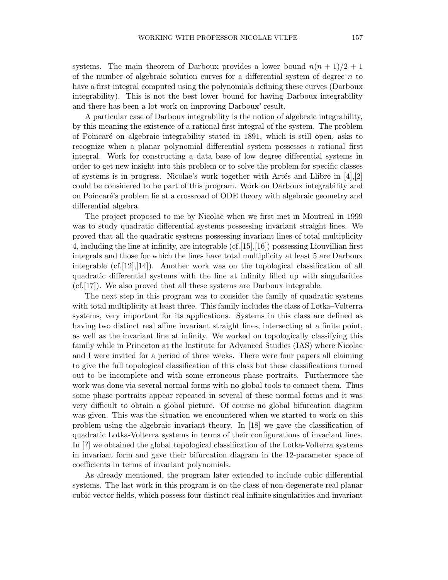systems. The main theorem of Darboux provides a lower bound  $n(n + 1)/2 + 1$ of the number of algebraic solution curves for a differential system of degree  $n$  to have a first integral computed using the polynomials defining these curves (Darboux integrability). This is not the best lower bound for having Darboux integrability and there has been a lot work on improving Darboux' result.

A particular case of Darboux integrability is the notion of algebraic integrability, by this meaning the existence of a rational first integral of the system. The problem of Poincar´e on algebraic integrability stated in 1891, which is still open, asks to recognize when a planar polynomial differential system possesses a rational first integral. Work for constructing a data base of low degree differential systems in order to get new insight into this problem or to solve the problem for specific classes of systems is in progress. Nicolae's work together with Artés and Llibre in  $[4], [2]$ could be considered to be part of this program. Work on Darboux integrability and on Poincar´e's problem lie at a crossroad of ODE theory with algebraic geometry and differential algebra.

The project proposed to me by Nicolae when we first met in Montreal in 1999 was to study quadratic differential systems possessing invariant straight lines. We proved that all the quadratic systems possessing invariant lines of total multiplicity 4, including the line at infinity, are integrable (cf.[15],[16]) possessing Liouvillian first integrals and those for which the lines have total multiplicity at least 5 are Darboux integrable  $(cf.[12],[14])$ . Another work was on the topological classification of all quadratic differential systems with the line at infinity filled up with singularities (cf.[17]). We also proved that all these systems are Darboux integrable.

The next step in this program was to consider the family of quadratic systems with total multiplicity at least three. This family includes the class of Lotka–Volterra systems, very important for its applications. Systems in this class are defined as having two distinct real affine invariant straight lines, intersecting at a finite point, as well as the invariant line at infinity. We worked on topologically classifying this family while in Princeton at the Institute for Advanced Studies (IAS) where Nicolae and I were invited for a period of three weeks. There were four papers all claiming to give the full topological classification of this class but these classifications turned out to be incomplete and with some erroneous phase portraits. Furthermore the work was done via several normal forms with no global tools to connect them. Thus some phase portraits appear repeated in several of these normal forms and it was very difficult to obtain a global picture. Of course no global bifurcation diagram was given. This was the situation we encountered when we started to work on this problem using the algebraic invariant theory. In [18] we gave the classification of quadratic Lotka-Volterra systems in terms of their configurations of invariant lines. In [?] we obtained the global topological classification of the Lotka-Volterra systems in invariant form and gave their bifurcation diagram in the 12-parameter space of coefficients in terms of invariant polynomials.

As already mentioned, the program later extended to include cubic differential systems. The last work in this program is on the class of non-degenerate real planar cubic vector fields, which possess four distinct real infinite singularities and invariant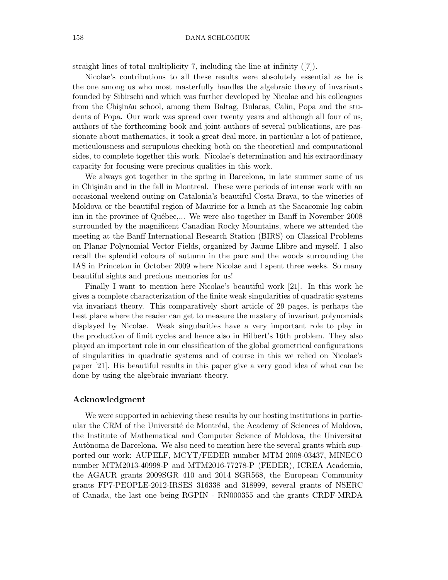straight lines of total multiplicity 7, including the line at infinity ([7]).

Nicolae's contributions to all these results were absolutely essential as he is the one among us who most masterfully handles the algebraic theory of invariants founded by Sibirschi and which was further developed by Nicolae and his colleagues from the Chisinǎu school, among them Baltag, Bularas, Calin, Popa and the students of Popa. Our work was spread over twenty years and although all four of us, authors of the forthcoming book and joint authors of several publications, are passionate about mathematics, it took a great deal more, in particular a lot of patience, meticulousness and scrupulous checking both on the theoretical and computational sides, to complete together this work. Nicolae's determination and his extraordinary capacity for focusing were precious qualities in this work.

We always got together in the spring in Barcelona, in late summer some of us in Chisinău and in the fall in Montreal. These were periods of intense work with an occasional weekend outing on Catalonia's beautiful Costa Brava, to the wineries of Moldova or the beautiful region of Mauricie for a lunch at the Sacacomie log cabin inn in the province of Québec,... We were also together in Banff in November 2008 surrounded by the magnificent Canadian Rocky Mountains, where we attended the meeting at the Banff International Research Station (BIRS) on Classical Problems on Planar Polynomial Vector Fields, organized by Jaume Llibre and myself. I also recall the splendid colours of autumn in the parc and the woods surrounding the IAS in Princeton in October 2009 where Nicolae and I spent three weeks. So many beautiful sights and precious memories for us!

Finally I want to mention here Nicolae's beautiful work [21]. In this work he gives a complete characterization of the finite weak singularities of quadratic systems via invariant theory. This comparatively short article of 29 pages, is perhaps the best place where the reader can get to measure the mastery of invariant polynomials displayed by Nicolae. Weak singularities have a very important role to play in the production of limit cycles and hence also in Hilbert's 16th problem. They also played an important role in our classification of the global geometrical configurations of singularities in quadratic systems and of course in this we relied on Nicolae's paper [21]. His beautiful results in this paper give a very good idea of what can be done by using the algebraic invariant theory.

## Acknowledgment

We were supported in achieving these results by our hosting institutions in particular the CRM of the Université de Montréal, the Academy of Sciences of Moldova, the Institute of Mathematical and Computer Science of Moldova, the Universitat Autònoma de Barcelona. We also need to mention here the several grants which supported our work: AUPELF, MCYT/FEDER number MTM 2008-03437, MINECO number MTM2013-40998-P and MTM2016-77278-P (FEDER), ICREA Academia, the AGAUR grants 2009SGR 410 and 2014 SGR568, the European Community grants FP7-PEOPLE-2012-IRSES 316338 and 318999, several grants of NSERC of Canada, the last one being RGPIN - RN000355 and the grants CRDF-MRDA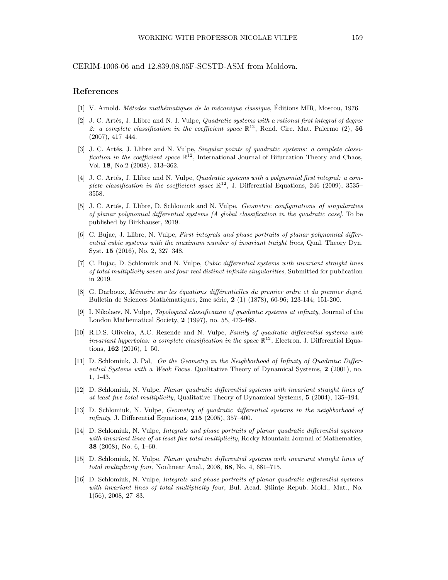CERIM-1006-06 and 12.839.08.05F-SCSTD-ASM from Moldova.

#### References

- [1] V. Arnold. *Métodes mathématiques de la mécanique classique*, Éditions MIR, Moscou, 1976.
- [2] J. C. Artés, J. Llibre and N. I. Vulpe, *Quadratic systems with a rational first integral of degree* 2: a complete classification in the coefficient space  $\mathbb{R}^{12}$ , Rend. Circ. Mat. Palermo (2), 56 (2007), 417–444.
- [3] J. C. Artés, J. Llibre and N. Vulpe, Singular points of quadratic systems: a complete classification in the coefficient space  $\mathbb{R}^{12}$ , International Journal of Bifurcation Theory and Chaos, Vol. 18, No.2 (2008), 313–362.
- [4] J. C. Artés, J. Llibre and N. Vulpe, *Quadratic systems with a polynomial first integral: a com*plete classification in the coefficient space  $\mathbb{R}^{12}$ , J. Differential Equations, 246 (2009), 3535-3558.
- [5] J. C. Artés, J. Llibre, D. Schlomiuk and N. Vulpe, *Geometric configurations of singularities* of planar polynomial differential systems [A global classification in the quadratic case]. To be published by Birkhauser, 2019.
- [6] C. Bujac, J. Llibre, N. Vulpe, First integrals and phase portraits of planar polynomial differential cubic systems with the maximum number of invariant traight lines, Qual. Theory Dyn. Syst. 15 (2016), No. 2, 327–348.
- [7] C. Bujac, D. Schlomiuk and N. Vulpe, Cubic differential systems with invariant straight lines of total multiplicity seven and four real distinct infinite singularities, Submitted for publication in 2019.
- [8] G. Darboux, Mémoire sur les équations différentielles du premier ordre et du premier degré, Bulletin de Sciences Mathématiques, 2me série, 2 (1) (1878), 60-96; 123-144; 151-200.
- [9] I. Nikolaev, N. Vulpe, Topological classification of quadratic systems at infinity, Journal of the London Mathematical Society, 2 (1997), no. 55, 473-488.
- [10] R.D.S. Oliveira, A.C. Rezende and N. Vulpe, Family of quadratic differential systems with *invariant hyperbolas: a complete classification in the space*  $\mathbb{R}^{12}$ , Electron. J. Differential Equations,  $162$  (2016), 1–50.
- [11] D. Schlomiuk, J. Pal, On the Geometry in the Neighborhood of Infinity of Quadratic Differential Systems with a Weak Focus. Qualitative Theory of Dynamical Systems, 2 (2001), no. 1, 1-43.
- [12] D. Schlomiuk, N. Vulpe, Planar quadratic differential systems with invariant straight lines of at least five total multiplicity, Qualitative Theory of Dynamical Systems, 5 (2004), 135–194.
- [13] D. Schlomiuk, N. Vulpe, Geometry of quadratic differential systems in the neighborhood of  $infinity, J.$  Differential Equations,  $215$  (2005), 357-400.
- [14] D. Schlomiuk, N. Vulpe, Integrals and phase portraits of planar quadratic differential systems with invariant lines of at least five total multiplicity, Rocky Mountain Journal of Mathematics, 38 (2008), No. 6, 1–60.
- [15] D. Schlomiuk, N. Vulpe, Planar quadratic differential systems with invariant straight lines of total multiplicity four, Nonlinear Anal., 2008, 68, No. 4, 681–715.
- [16] D. Schlomiuk, N. Vulpe, Integrals and phase portraits of planar quadratic differential systems with invariant lines of total multiplicity four, Bul. Acad. Stiinte Repub. Mold., Mat., No. 1(56), 2008, 27–83.